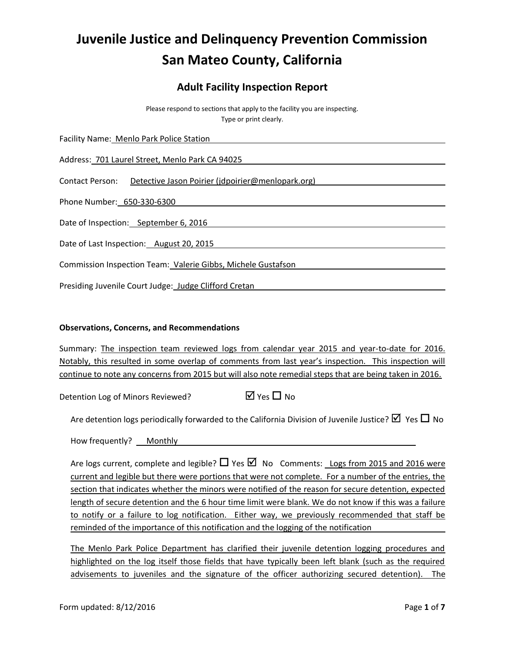# **Juvenile Justice and Delinquency Prevention Commission San Mateo County, California**

# **Adult Facility Inspection Report**

Please respond to sections that apply to the facility you are inspecting. Type or print clearly.

Facility Name: Menlo Park Police Station

Address: 701 Laurel Street, Menlo Park CA 94025

Contact Person: Detective Jason Poirier (jdpoirier@menlopark.org)

Phone Number: 650-330-6300

Date of Inspection: September 6, 2016

Date of Last Inspection: August 20, 2015

Commission Inspection Team: Valerie Gibbs, Michele Gustafson

Presiding Juvenile Court Judge: Judge Clifford Cretan

#### **Observations, Concerns, and Recommendations**

Summary: The inspection team reviewed logs from calendar year 2015 and year-to-date for 2016. Notably, this resulted in some overlap of comments from last year's inspection. This inspection will continue to note any concerns from 2015 but will also note remedial steps that are being taken in 2016.

Detention Log of Minors Reviewed?  $\Box$  Yes  $\Box$  No

Are detention logs periodically forwarded to the California Division of Juvenile Justice?  $\boxtimes$  Yes  $\Box$  No

How frequently? Monthly

Are logs current, complete and legible?  $\Box$  Yes  $\Box$  No Comments: Logs from 2015 and 2016 were current and legible but there were portions that were not complete. For a number of the entries, the section that indicates whether the minors were notified of the reason for secure detention, expected length of secure detention and the 6 hour time limit were blank. We do not know if this was a failure to notify or a failure to log notification. Either way, we previously recommended that staff be reminded of the importance of this notification and the logging of the notification

The Menlo Park Police Department has clarified their juvenile detention logging procedures and highlighted on the log itself those fields that have typically been left blank (such as the required advisements to juveniles and the signature of the officer authorizing secured detention). The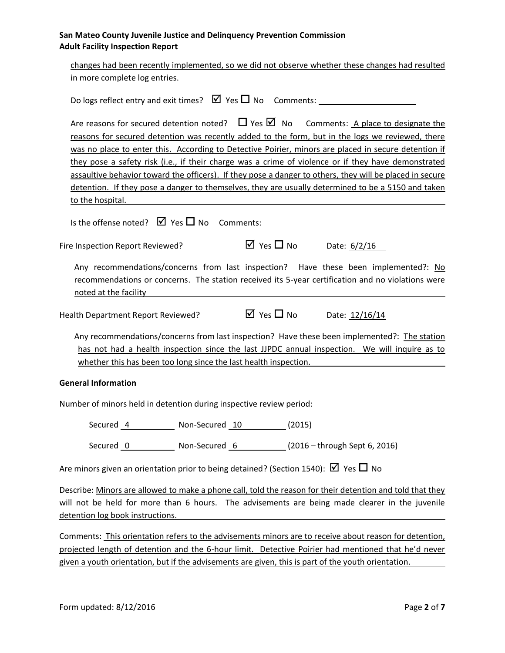| changes had been recently implemented, so we did not observe whether these changes had resulted                                                                                                                   |
|-------------------------------------------------------------------------------------------------------------------------------------------------------------------------------------------------------------------|
| in more complete log entries.                                                                                                                                                                                     |
|                                                                                                                                                                                                                   |
| Are reasons for secured detention noted? $\Box$ Yes $\Box$ No Comments: A place to designate the                                                                                                                  |
| reasons for secured detention was recently added to the form, but in the logs we reviewed, there                                                                                                                  |
| was no place to enter this. According to Detective Poirier, minors are placed in secure detention if                                                                                                              |
| they pose a safety risk (i.e., if their charge was a crime of violence or if they have demonstrated                                                                                                               |
| assaultive behavior toward the officers). If they pose a danger to others, they will be placed in secure                                                                                                          |
| detention. If they pose a danger to themselves, they are usually determined to be a 5150 and taken                                                                                                                |
| to the hospital.                                                                                                                                                                                                  |
| Is the offense noted? $\boxtimes$ Yes $\square$ No Comments:                                                                                                                                                      |
| $\overline{M}$ Yes $\overline{\Box}$ No Date: $6/2/16$<br>Fire Inspection Report Reviewed?                                                                                                                        |
| Any recommendations/concerns from last inspection? Have these been implemented?: No<br>recommendations or concerns. The station received its 5-year certification and no violations were<br>noted at the facility |
|                                                                                                                                                                                                                   |
| $\boxtimes$ Yes $\Box$ No Date: 12/16/14<br>Health Department Report Reviewed?                                                                                                                                    |
|                                                                                                                                                                                                                   |
| Any recommendations/concerns from last inspection? Have these been implemented?: The station<br>has not had a health inspection since the last JJPDC annual inspection. We will inquire as to                     |
| whether this has been too long since the last health inspection.                                                                                                                                                  |
|                                                                                                                                                                                                                   |
| <b>General Information</b>                                                                                                                                                                                        |
| Number of minors held in detention during inspective review period:                                                                                                                                               |
| Secured 4 Non-Secured 10 (2015)                                                                                                                                                                                   |
| Secured 0 Non-Secured 6 (2016 - through Sept 6, 2016)                                                                                                                                                             |
| Are minors given an orientation prior to being detained? (Section 1540): $\boxtimes$ Yes $\Box$ No                                                                                                                |
| Describe: Minors are allowed to make a phone call, told the reason for their detention and told that they                                                                                                         |
| will not be held for more than 6 hours. The advisements are being made clearer in the juvenile                                                                                                                    |
| detention log book instructions.                                                                                                                                                                                  |
|                                                                                                                                                                                                                   |
| Comments: This orientation refers to the advisements minors are to receive about reason for detention,                                                                                                            |
| projected length of detention and the 6-hour limit. Detective Poirier had mentioned that he'd never                                                                                                               |
| given a youth orientation, but if the advisements are given, this is part of the youth orientation.                                                                                                               |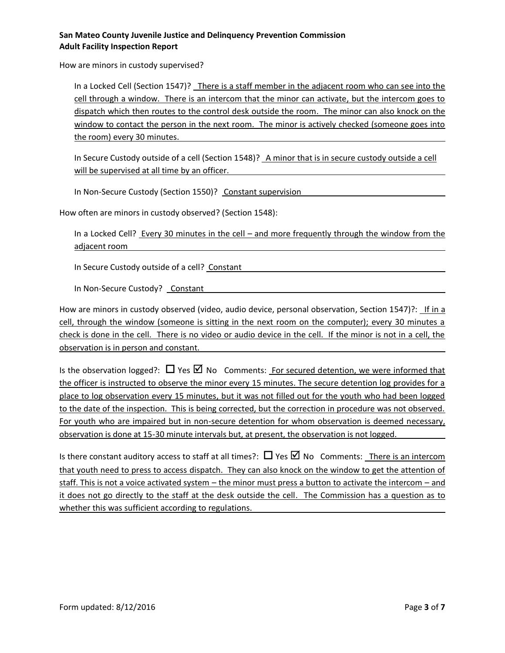How are minors in custody supervised?

In a Locked Cell (Section 1547)? There is a staff member in the adjacent room who can see into the cell through a window. There is an intercom that the minor can activate, but the intercom goes to dispatch which then routes to the control desk outside the room. The minor can also knock on the window to contact the person in the next room. The minor is actively checked (someone goes into the room) every 30 minutes.

In Secure Custody outside of a cell (Section 1548)? A minor that is in secure custody outside a cell will be supervised at all time by an officer.

In Non-Secure Custody (Section 1550)? Constant supervision

How often are minors in custody observed? (Section 1548):

In a Locked Cell? Every 30 minutes in the cell – and more frequently through the window from the adjacent room

In Secure Custody outside of a cell? Constant

In Non-Secure Custody? Constant

How are minors in custody observed (video, audio device, personal observation, Section 1547)?: If in a cell, through the window (someone is sitting in the next room on the computer); every 30 minutes a check is done in the cell. There is no video or audio device in the cell. If the minor is not in a cell, the observation is in person and constant.

Is the observation logged?:  $\Box$  Yes  $\Box$  No Comments: For secured detention, we were informed that the officer is instructed to observe the minor every 15 minutes. The secure detention log provides for a place to log observation every 15 minutes, but it was not filled out for the youth who had been logged to the date of the inspection. This is being corrected, but the correction in procedure was not observed. For youth who are impaired but in non-secure detention for whom observation is deemed necessary, observation is done at 15-30 minute intervals but, at present, the observation is not logged.

Is there constant auditory access to staff at all times?:  $\Box$  Yes  $\Box$  No Comments: There is an intercom that youth need to press to access dispatch. They can also knock on the window to get the attention of staff. This is not a voice activated system – the minor must press a button to activate the intercom – and it does not go directly to the staff at the desk outside the cell. The Commission has a question as to whether this was sufficient according to regulations.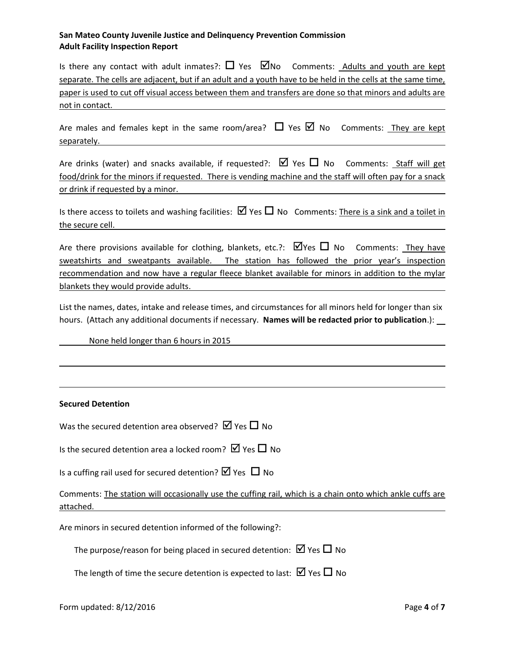| Is there any contact with adult inmates?: $\Box$ Yes $\Box$ No Comments: Adults and youth are kept           |  |  |  |
|--------------------------------------------------------------------------------------------------------------|--|--|--|
| separate. The cells are adjacent, but if an adult and a youth have to be held in the cells at the same time, |  |  |  |
| paper is used to cut off visual access between them and transfers are done so that minors and adults are     |  |  |  |
| not in contact.                                                                                              |  |  |  |

Are males and females kept in the same room/area?  $\Box$  Yes  $\boxtimes$  No Comments: They are kept separately.

Are drinks (water) and snacks available, if requested?:  $\boxtimes$  Yes  $\Box$  No Comments: Staff will get food/drink for the minors if requested. There is vending machine and the staff will often pay for a snack or drink if requested by a minor.

Is there access to toilets and washing facilities:  $\boxtimes$  Yes  $\Box$  No Comments: There is a sink and a toilet in the secure cell.

Are there provisions available for clothing, blankets, etc.?:  $\Box$  Yes  $\Box$  No Comments: They have sweatshirts and sweatpants available. The station has followed the prior year's inspection recommendation and now have a regular fleece blanket available for minors in addition to the mylar blankets they would provide adults.

List the names, dates, intake and release times, and circumstances for all minors held for longer than six hours. (Attach any additional documents if necessary. **Names will be redacted prior to publication**.):

None held longer than 6 hours in 2015

#### **Secured Detention**

| Was the secured detention area observed? $\boxtimes$ Yes $\Box$ No |  |  |
|--------------------------------------------------------------------|--|--|
|--------------------------------------------------------------------|--|--|

Is the secured detention area a locked room?  $\boxtimes$  Yes  $\Box$  No

| Is a cuffing rail used for secured detention? $\boxtimes$ Yes $\Box$ No |  |  |  |
|-------------------------------------------------------------------------|--|--|--|
|-------------------------------------------------------------------------|--|--|--|

Comments: The station will occasionally use the cuffing rail, which is a chain onto which ankle cuffs are attached.

Are minors in secured detention informed of the following?:

The purpose/reason for being placed in secured detention:  $\boxtimes$  Yes  $\Box$  No

The length of time the secure detention is expected to last:  $\boxtimes$  Yes  $\Box$  No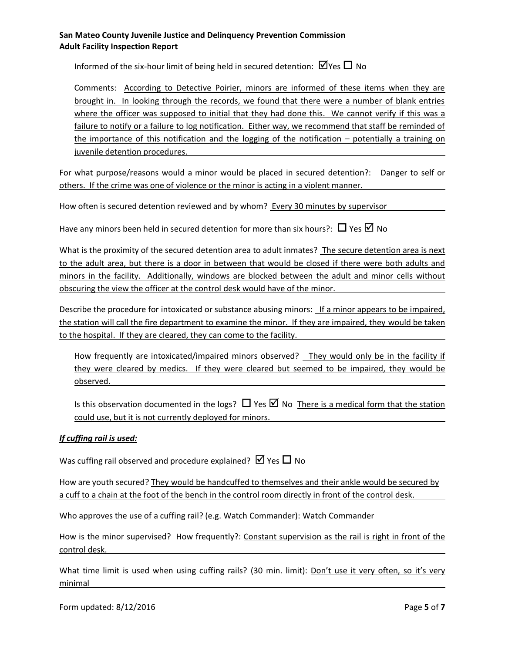Informed of the six-hour limit of being held in secured detention:  $\Box$  Yes  $\Box$  No

Comments: According to Detective Poirier, minors are informed of these items when they are brought in. In looking through the records, we found that there were a number of blank entries where the officer was supposed to initial that they had done this. We cannot verify if this was a failure to notify or a failure to log notification. Either way, we recommend that staff be reminded of the importance of this notification and the logging of the notification – potentially a training on juvenile detention procedures.

For what purpose/reasons would a minor would be placed in secured detention?: Danger to self or others. If the crime was one of violence or the minor is acting in a violent manner.

How often is secured detention reviewed and by whom? Every 30 minutes by supervisor

Have any minors been held in secured detention for more than six hours?:  $\Box$  Yes  $\Box$  No

What is the proximity of the secured detention area to adult inmates? The secure detention area is next to the adult area, but there is a door in between that would be closed if there were both adults and minors in the facility. Additionally, windows are blocked between the adult and minor cells without obscuring the view the officer at the control desk would have of the minor.

Describe the procedure for intoxicated or substance abusing minors: If a minor appears to be impaired, the station will call the fire department to examine the minor. If they are impaired, they would be taken to the hospital. If they are cleared, they can come to the facility.

How frequently are intoxicated/impaired minors observed? They would only be in the facility if they were cleared by medics. If they were cleared but seemed to be impaired, they would be observed.

Is this observation documented in the logs?  $\Box$  Yes  $\Box$  No There is a medical form that the station could use, but it is not currently deployed for minors.

#### *If cuffing rail is used:*

Was cuffing rail observed and procedure explained?  $\boxtimes$  Yes  $\Box$  No

How are youth secured? They would be handcuffed to themselves and their ankle would be secured by a cuff to a chain at the foot of the bench in the control room directly in front of the control desk.

Who approves the use of a cuffing rail? (e.g. Watch Commander): Watch Commander

How is the minor supervised? How frequently?: Constant supervision as the rail is right in front of the control desk.

What time limit is used when using cuffing rails? (30 min. limit): Don't use it very often, so it's very minimal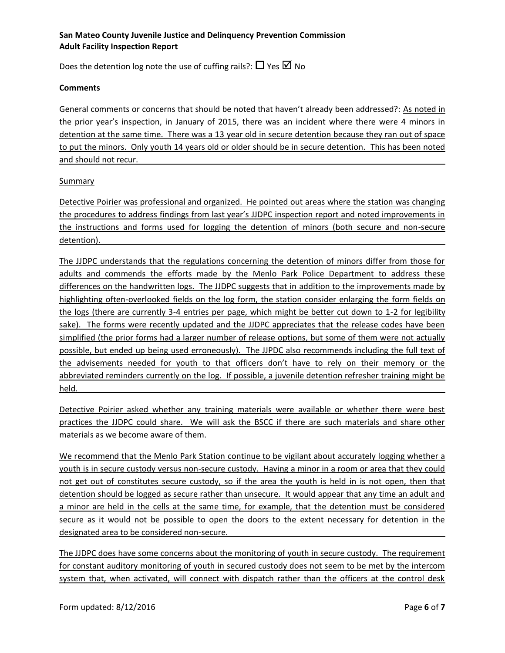Does the detention log note the use of cuffing rails?:  $\Box$  Yes  $\Box$  No

#### **Comments**

General comments or concerns that should be noted that haven't already been addressed?: As noted in the prior year's inspection, in January of 2015, there was an incident where there were 4 minors in detention at the same time. There was a 13 year old in secure detention because they ran out of space to put the minors. Only youth 14 years old or older should be in secure detention. This has been noted and should not recur.

#### **Summary**

Detective Poirier was professional and organized. He pointed out areas where the station was changing the procedures to address findings from last year's JJDPC inspection report and noted improvements in the instructions and forms used for logging the detention of minors (both secure and non-secure detention).

The JJDPC understands that the regulations concerning the detention of minors differ from those for adults and commends the efforts made by the Menlo Park Police Department to address these differences on the handwritten logs. The JJDPC suggests that in addition to the improvements made by highlighting often-overlooked fields on the log form, the station consider enlarging the form fields on the logs (there are currently 3-4 entries per page, which might be better cut down to 1-2 for legibility sake). The forms were recently updated and the JJDPC appreciates that the release codes have been simplified (the prior forms had a larger number of release options, but some of them were not actually possible, but ended up being used erroneously). The JJPDC also recommends including the full text of the advisements needed for youth to that officers don't have to rely on their memory or the abbreviated reminders currently on the log. If possible, a juvenile detention refresher training might be held.

Detective Poirier asked whether any training materials were available or whether there were best practices the JJDPC could share. We will ask the BSCC if there are such materials and share other materials as we become aware of them.

We recommend that the Menlo Park Station continue to be vigilant about accurately logging whether a youth is in secure custody versus non-secure custody. Having a minor in a room or area that they could not get out of constitutes secure custody, so if the area the youth is held in is not open, then that detention should be logged as secure rather than unsecure. It would appear that any time an adult and a minor are held in the cells at the same time, for example, that the detention must be considered secure as it would not be possible to open the doors to the extent necessary for detention in the designated area to be considered non-secure.

The JJDPC does have some concerns about the monitoring of youth in secure custody. The requirement for constant auditory monitoring of youth in secured custody does not seem to be met by the intercom system that, when activated, will connect with dispatch rather than the officers at the control desk